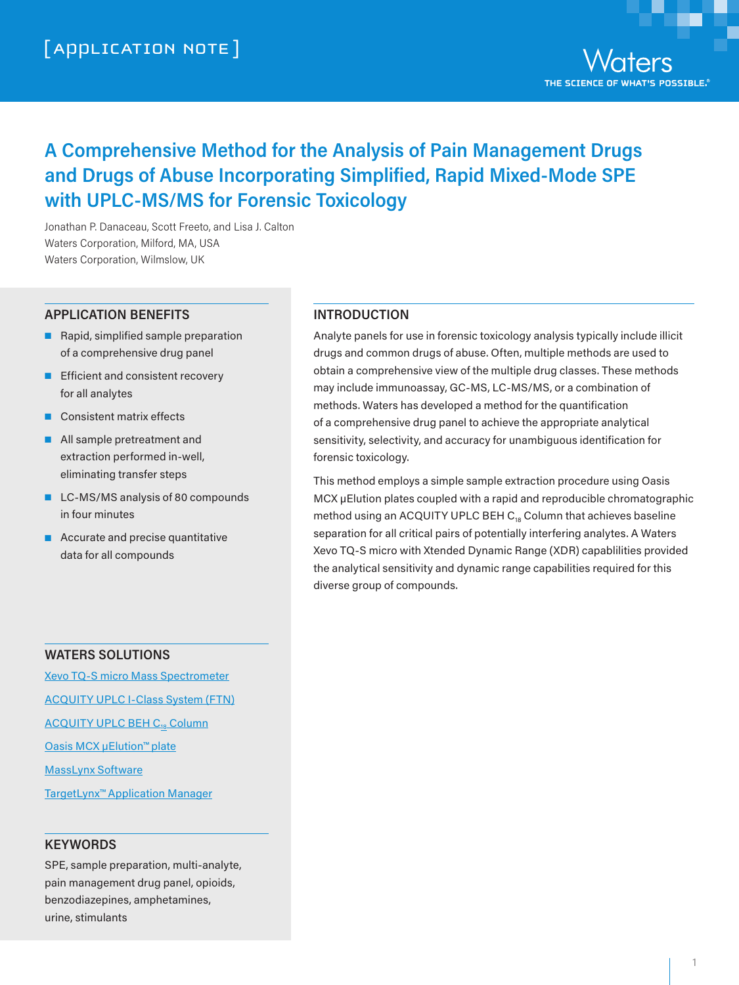

### **A Comprehensive Method for the Analysis of Pain Management Drugs and Drugs of Abuse Incorporating Simplified, Rapid Mixed-Mode SPE with UPLC-MS/MS for Forensic Toxicology**

Jonathan P. Danaceau, Scott Freeto, and Lisa J. Calton Waters Corporation, Milford, MA, USA Waters Corporation, Wilmslow, UK

#### **APPLICATION BENEFITS**

- Rapid, simplified sample preparation of a comprehensive drug panel
- Efficient and consistent recovery for all analytes
- Consistent matrix effects
- All sample pretreatment and extraction performed in-well, eliminating transfer steps
- LC-MS/MS analysis of 80 compounds in four minutes
- Accurate and precise quantitative data for all compounds

#### **INTRODUCTION**

Analyte panels for use in forensic toxicology analysis typically include illicit drugs and common drugs of abuse. Often, multiple methods are used to obtain a comprehensive view of the multiple drug classes. These methods may include immunoassay, GC-MS, LC-MS/MS, or a combination of methods. Waters has developed a method for the quantification of a comprehensive drug panel to achieve the appropriate analytical sensitivity, selectivity, and accuracy for unambiguous identification for forensic toxicology.

This method employs a simple sample extraction procedure using Oasis MCX µElution plates coupled with a rapid and reproducible chromatographic method using an ACQUITY UPLC BEH C<sub>18</sub> Column that achieves baseline separation for all critical pairs of potentially interfering analytes. A Waters Xevo TQ-S micro with Xtended Dynamic Range (XDR) capablilities provided the analytical sensitivity and dynamic range capabilities required for this diverse group of compounds.

#### **WATERS SOLUTIONS**

[Xevo TQ-S micro Mass](http://www.waters.com/waters/en_US/Xevo-TQ-S-micro-Triple-Quadrupole-Mass-Spectrometry/nav.htm?cid=134798856) Spectrometer [ACQUITY UPLC I-Class System \(FTN\)](http://www.waters.com/waters/en_US/UPLC-inlet-to-MS-with-the-best-dispersion/nav.htm?cid=134613317) **ACQUITY UPLC BEH C<sub>18</sub> Column** [Oasis MCX µElution™ plate](http://www.waters.com/waters/en_US/Waters-Oasis-Sample-Extraction-SPE-Products/nav.htm?cid=513209) [MassLynx](http://www.waters.com/waters/en_US/MassLynx-Mass-Spectrometry-Software-/nav.htm?cid=513164) Software [TargetLynx™ Application](http://www.waters.com/waters/en_US/TargetLynx-/nav.htm?cid=513791) Manager

#### **KEYWORDS**

SPE, sample preparation, multi-analyte, pain management drug panel, opioids, benzodiazepines, amphetamines, urine, stimulants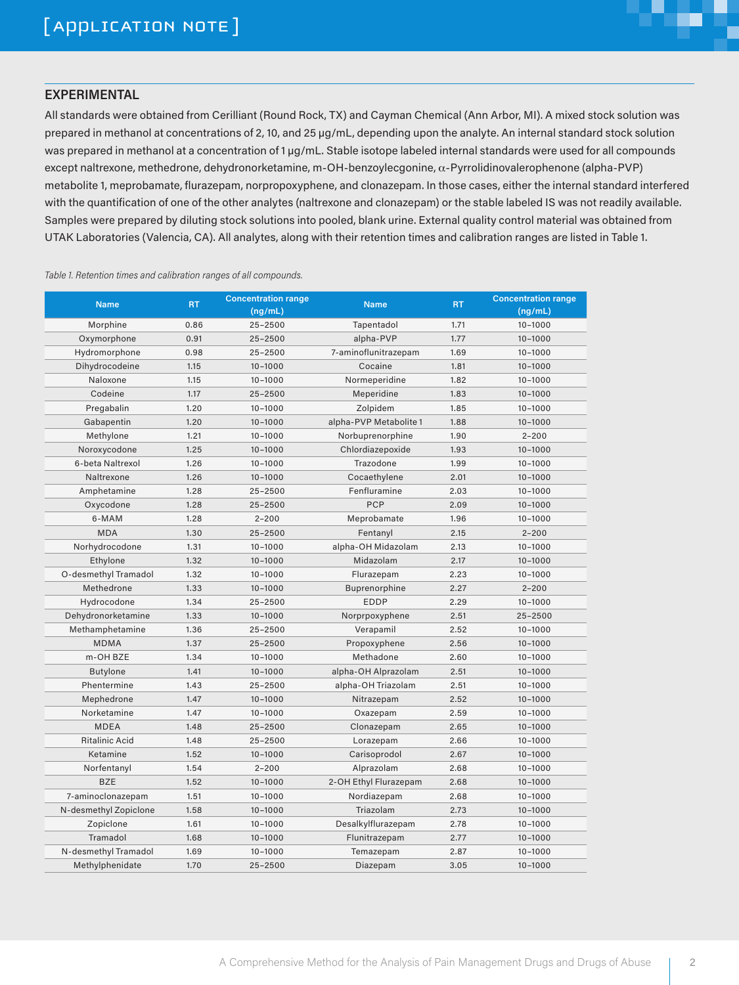# H.

2

#### **EXPERIMENTAL**

All standards were obtained from Cerilliant (Round Rock, TX) and Cayman Chemical (Ann Arbor, MI). A mixed stock solution was prepared in methanol at concentrations of 2, 10, and 25 µg/mL, depending upon the analyte. An internal standard stock solution was prepared in methanol at a concentration of 1 µg/mL. Stable isotope labeled internal standards were used for all compounds except naltrexone, methedrone, dehydronorketamine, m-OH-benzoylecgonine, α-Pyrrolidinovalerophenone (alpha-PVP) metabolite 1, meprobamate, flurazepam, norpropoxyphene, and clonazepam. In those cases, either the internal standard interfered with the quantification of one of the other analytes (naltrexone and clonazepam) or the stable labeled IS was not readily available. Samples were prepared by diluting stock solutions into pooled, blank urine. External quality control material was obtained from UTAK Laboratories (Valencia, CA). All analytes, along with their retention times and calibration ranges are listed in Table 1.

*Table 1. Retention times and calibration ranges of all compounds.*

| <b>Name</b>           | <b>RT</b> | <b>Concentration range</b> | <b>Name</b>            | RT.  | <b>Concentration range</b> |
|-----------------------|-----------|----------------------------|------------------------|------|----------------------------|
|                       |           | (ng/mL)                    |                        |      | (ng/mL)                    |
| Morphine              | 0.86      | $25 - 2500$                | Tapentadol             | 1.71 | $10 - 1000$                |
| Oxymorphone           | 0.91      | $25 - 2500$                | alpha-PVP              | 1.77 | $10 - 1000$                |
| Hydromorphone         | 0.98      | $25 - 2500$                | 7-aminoflunitrazepam   | 1.69 | $10 - 1000$                |
| Dihydrocodeine        | 1.15      | $10 - 1000$                | Cocaine                | 1.81 | $10 - 1000$                |
| Naloxone              | 1.15      | $10 - 1000$                | Normeperidine          | 1.82 | $10 - 1000$                |
| Codeine               | 1.17      | $25 - 2500$                | Meperidine             | 1.83 | $10 - 1000$                |
| Pregabalin            | 1.20      | $10 - 1000$                | Zolpidem               | 1.85 | $10 - 1000$                |
| Gabapentin            | 1,20      | $10 - 1000$                | alpha-PVP Metabolite 1 | 1.88 | $10 - 1000$                |
| Methylone             | 1.21      | $10 - 1000$                | Norbuprenorphine       | 1.90 | $2 - 200$                  |
| Noroxycodone          | 1.25      | $10 - 1000$                | Chlordiazepoxide       | 1.93 | $10 - 1000$                |
| 6-beta Naltrexol      | 1.26      | $10 - 1000$                | Trazodone              | 1.99 | $10 - 1000$                |
| Naltrexone            | 1.26      | $10 - 1000$                | Cocaethylene           | 2.01 | $10 - 1000$                |
| Amphetamine           | 1.28      | $25 - 2500$                | Fenfluramine           | 2.03 | $10 - 1000$                |
| Oxycodone             | 1.28      | $25 - 2500$                | <b>PCP</b>             | 2.09 | $10 - 1000$                |
| 6-MAM                 | 1.28      | $2 - 200$                  | Meprobamate            | 1.96 | $10 - 1000$                |
| <b>MDA</b>            | 1.30      | $25 - 2500$                | Fentanyl               | 2.15 | $2 - 200$                  |
| Norhydrocodone        | 1.31      | $10 - 1000$                | alpha-OH Midazolam     | 2.13 | $10 - 1000$                |
| Ethylone              | 1.32      | $10 - 1000$                | Midazolam              | 2.17 | $10 - 1000$                |
| O-desmethyl Tramadol  | 1.32      | $10 - 1000$                | Flurazepam             | 2.23 | $10 - 1000$                |
| Methedrone            | 1.33      | $10 - 1000$                | Buprenorphine          | 2.27 | $2 - 200$                  |
| Hydrocodone           | 1.34      | $25 - 2500$                | <b>EDDP</b>            | 2.29 | $10 - 1000$                |
| Dehydronorketamine    | 1.33      | $10 - 1000$                | Norprpoxyphene         | 2.51 | $25 - 2500$                |
| Methamphetamine       | 1.36      | $25 - 2500$                | Verapamil              | 2.52 | $10 - 1000$                |
| <b>MDMA</b>           | 1.37      | $25 - 2500$                | Propoxyphene           | 2.56 | $10 - 1000$                |
| m-OH BZE              | 1.34      | $10 - 1000$                | Methadone              | 2.60 | $10 - 1000$                |
| <b>Butylone</b>       | 1.41      | $10 - 1000$                | alpha-OH Alprazolam    | 2.51 | $10 - 1000$                |
| Phentermine           | 1.43      | $25 - 2500$                | alpha-OH Triazolam     | 2.51 | $10 - 1000$                |
| Mephedrone            | 1.47      | $10 - 1000$                | Nitrazepam             | 2.52 | $10 - 1000$                |
| Norketamine           | 1.47      | $10 - 1000$                | Oxazepam               | 2.59 | $10 - 1000$                |
| <b>MDEA</b>           | 1.48      | $25 - 2500$                | Clonazepam             | 2.65 | $10 - 1000$                |
| <b>Ritalinic Acid</b> | 1.48      | $25 - 2500$                | Lorazepam              | 2.66 | $10 - 1000$                |
| Ketamine              | 1.52      | $10 - 1000$                | Carisoprodol           | 2.67 | $10 - 1000$                |
| Norfentanyl           | 1.54      | $2 - 200$                  | Alprazolam             | 2.68 | $10 - 1000$                |
| <b>BZE</b>            | 1.52      | $10 - 1000$                | 2-OH Ethyl Flurazepam  | 2.68 | $10 - 1000$                |
| 7-aminoclonazepam     | 1.51      | $10 - 1000$                | Nordiazepam            | 2.68 | $10 - 1000$                |
| N-desmethyl Zopiclone | 1.58      | $10 - 1000$                | Triazolam              | 2.73 | $10 - 1000$                |
| Zopiclone             | 1.61      | $10 - 1000$                | Desalkylflurazepam     | 2.78 | $10 - 1000$                |
| Tramadol              | 1.68      | $10 - 1000$                | Flunitrazepam          | 2.77 | $10 - 1000$                |
| N-desmethyl Tramadol  | 1.69      | $10 - 1000$                | Temazepam              | 2.87 | $10 - 1000$                |
| Methylphenidate       | 1.70      | $25 - 2500$                | Diazepam               | 3.05 | $10 - 1000$                |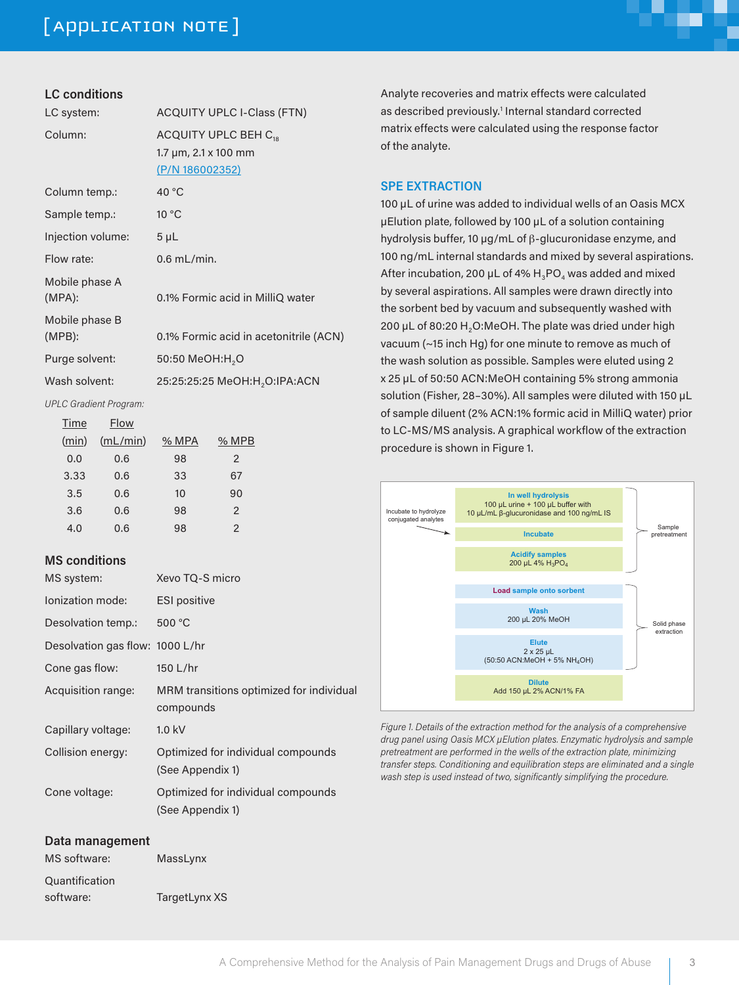

| LC system:                  | <b>ACQUITY UPLC I-Class (FTN)</b>                                                           |
|-----------------------------|---------------------------------------------------------------------------------------------|
| Column:                     | ACQUITY UPLC BEH C <sub>18</sub><br>$1.7 \mu m$ , $2.1 \times 100 \mu m$<br>(P/N 186002352) |
| Column temp.:               | 40 $^{\circ}$ C                                                                             |
| Sample temp.:               | 10 °C                                                                                       |
| Injection volume:           | $5 \mu L$                                                                                   |
| Flow rate:                  | $0.6$ mL/min.                                                                               |
| Mobile phase A<br>$(MPA)$ : | 0.1% Formic acid in MilliQ water                                                            |
| Mobile phase B<br>$(MPB)$ : | 0.1% Formic acid in acetonitrile (ACN)                                                      |
| Purge solvent:              | 50:50 MeOH:H <sub>2</sub> O                                                                 |
| Wash solvent:               | 25:25:25:25 MeOH:H <sub>2</sub> O:IPA:ACN                                                   |

*UPLC Gradient Program:*

| Time  | Flow     |       |               |
|-------|----------|-------|---------------|
| (min) | (mL/min) | % MPA | $%$ MPB       |
| 0.0   | 0.6      | 98    | $\mathcal{P}$ |
| 3.33  | 0.6      | 33    | 67            |
| 3.5   | 0.6      | 10    | 90            |
| 3.6   | 0.6      | 98    | 2             |
| 4.0   | 0.6      | 98    | $\mathcal{P}$ |

#### **MS conditions**

| MS system:                      | Xevo TQ-S micro                                        |
|---------------------------------|--------------------------------------------------------|
| Ionization mode:                | <b>ESI</b> positive                                    |
| Desolvation temp.:              | 500 °C                                                 |
| Desolvation gas flow: 1000 L/hr |                                                        |
| Cone gas flow:                  | 150 L/hr                                               |
| Acquisition range:              | MRM transitions optimized for individual<br>compounds  |
| Capillary voltage:              | $1.0$ kV                                               |
| Collision energy:               | Optimized for individual compounds<br>(See Appendix 1) |
| Cone voltage:                   | Optimized for individual compounds<br>(See Appendix 1) |

#### **Data management**

| MS software:   | MassLynx      |
|----------------|---------------|
| Quantification |               |
| software:      | TargetLynx XS |

Analyte recoveries and matrix effects were calculated as described previously.<sup>1</sup> Internal standard corrected matrix effects were calculated using the response factor of the analyte.

Œ

#### **SPE EXTRACTION**

100 µL of urine was added to individual wells of an Oasis MCX µElution plate, followed by 100 µL of a solution containing hydrolysis buffer, 10 µg/mL of β-glucuronidase enzyme, and 100 ng/mL internal standards and mixed by several aspirations. After incubation, 200 µL of 4%  $H_3PO_4$  was added and mixed by several aspirations. All samples were drawn directly into the sorbent bed by vacuum and subsequently washed with 200 µL of 80:20 H<sub>2</sub>O:MeOH. The plate was dried under high vacuum (~15 inch Hg) for one minute to remove as much of the wash solution as possible. Samples were eluted using 2 x 25 µL of 50:50 ACN:MeOH containing 5% strong ammonia solution (Fisher, 28-30%). All samples were diluted with 150 µL of sample diluent (2% ACN:1% formic acid in MilliQ water) prior to LC-MS/MS analysis. A graphical workflow of the extraction procedure is shown in Figure 1.



*Figure 1. Details of the extraction method for the analysis of a comprehensive drug panel using Oasis MCX µElution plates. Enzymatic hydrolysis and sample pretreatment are performed in the wells of the extraction plate, minimizing transfer steps. Conditioning and equilibration steps are eliminated and a single wash step is used instead of two, significantly simplifying the procedure.*

3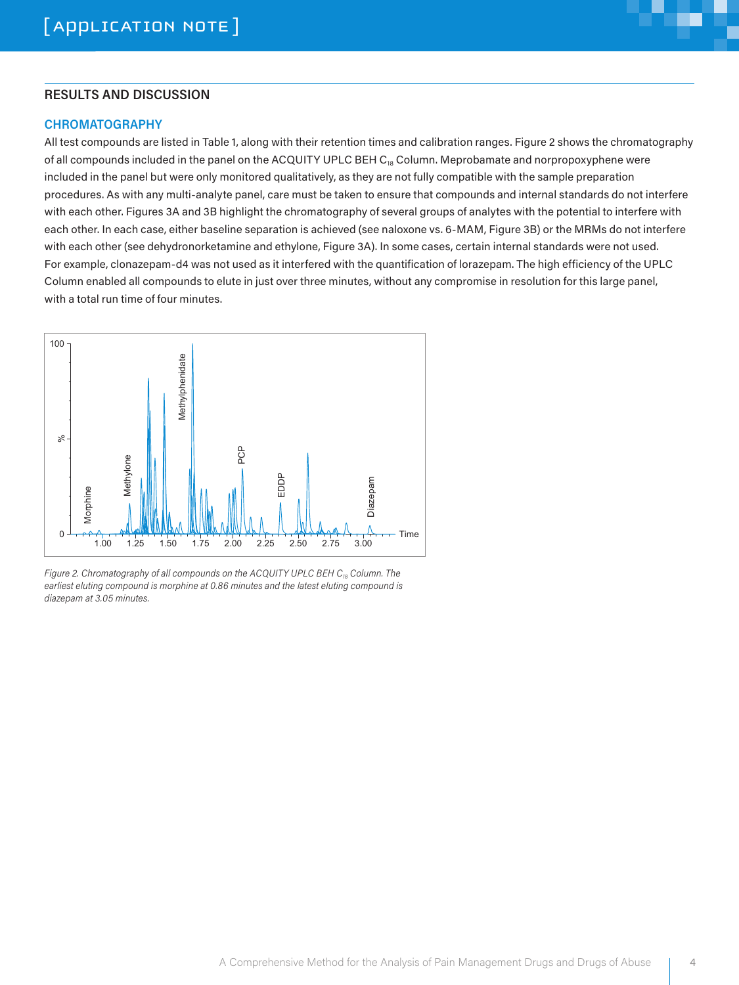# H.

#### **RESULTS AND DISCUSSION**

#### **CHROMATOGRAPHY**

All test compounds are listed in Table 1, along with their retention times and calibration ranges. Figure 2 shows the chromatography of all compounds included in the panel on the ACQUITY UPLC BEH  $C_{18}$  Column. Meprobamate and norpropoxyphene were included in the panel but were only monitored qualitatively, as they are not fully compatible with the sample preparation procedures. As with any multi-analyte panel, care must be taken to ensure that compounds and internal standards do not interfere with each other. Figures 3A and 3B highlight the chromatography of several groups of analytes with the potential to interfere with each other. In each case, either baseline separation is achieved (see naloxone vs. 6-MAM, Figure 3B) or the MRMs do not interfere with each other (see dehydronorketamine and ethylone, Figure 3A). In some cases, certain internal standards were not used. For example, clonazepam-d4 was not used as it interfered with the quantification of lorazepam. The high efficiency of the UPLC Column enabled all compounds to elute in just over three minutes, without any compromise in resolution for this large panel, with a total run time of four minutes.



*Figure 2. Chromatography of all compounds on the ACQUITY UPLC BEH C18 Column. The earliest eluting compound is morphine at 0.86 minutes and the latest eluting compound is diazepam at 3.05 minutes.*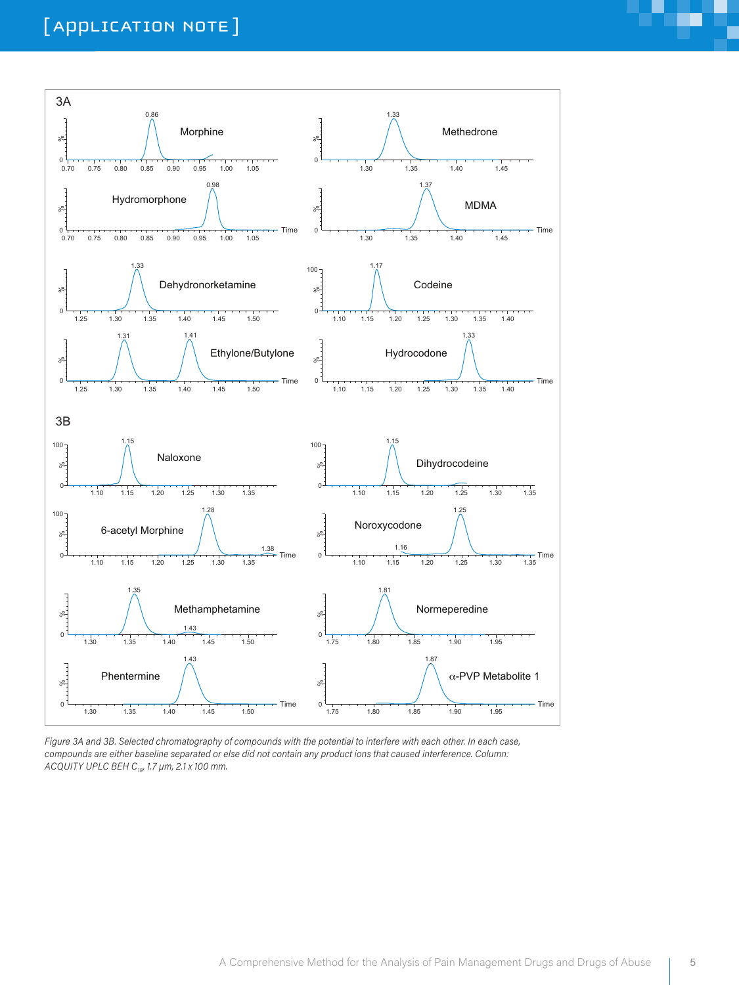



*Figure 3A and 3B. Selected chromatography of compounds with the potential to interfere with each other. In each case, compounds are either baseline separated or else did not contain any product ions that caused interference. Column: ACQUITY UPLC BEH C18 , 1.7 µm, 2.1 x 100 mm.*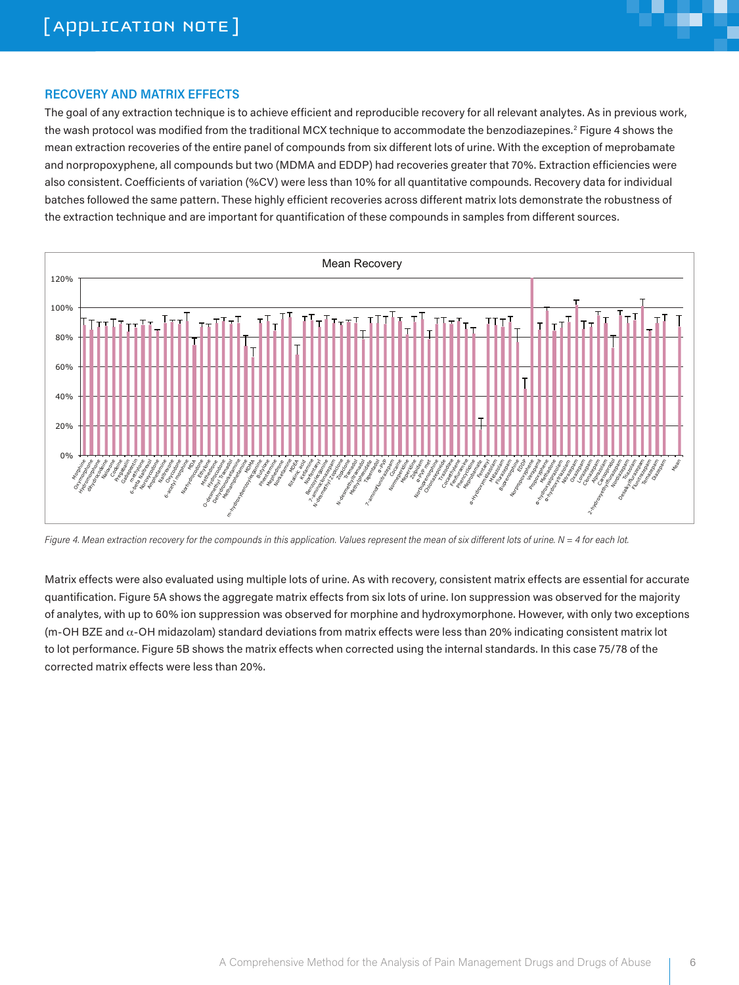

#### **RECOVERY AND MATRIX EFFECTS**

The goal of any extraction technique is to achieve efficient and reproducible recovery for all relevant analytes. As in previous work, the wash protocol was modified from the traditional MCX technique to accommodate the benzodiazepines.<sup>2</sup> Figure 4 shows the mean extraction recoveries of the entire panel of compounds from six different lots of urine. With the exception of meprobamate and norpropoxyphene, all compounds but two (MDMA and EDDP) had recoveries greater that 70%. Extraction efficiencies were also consistent. Coefficients of variation (%CV) were less than 10% for all quantitative compounds. Recovery data for individual batches followed the same pattern. These highly efficient recoveries across different matrix lots demonstrate the robustness of the extraction technique and are important for quantification of these compounds in samples from different sources.



*Figure 4. Mean extraction recovery for the compounds in this application. Values represent the mean of six different lots of urine. N = 4 for each lot.*

Matrix effects were also evaluated using multiple lots of urine. As with recovery, consistent matrix effects are essential for accurate quantification. Figure 5A shows the aggregate matrix effects from six lots of urine. Ion suppression was observed for the majority of analytes, with up to 60% ion suppression was observed for morphine and hydroxymorphone. However, with only two exceptions (m-OH BZE and  $\alpha$ -OH midazolam) standard deviations from matrix effects were less than 20% indicating consistent matrix lot to lot performance. Figure 5B shows the matrix effects when corrected using the internal standards. In this case 75/78 of the corrected matrix effects were less than 20%.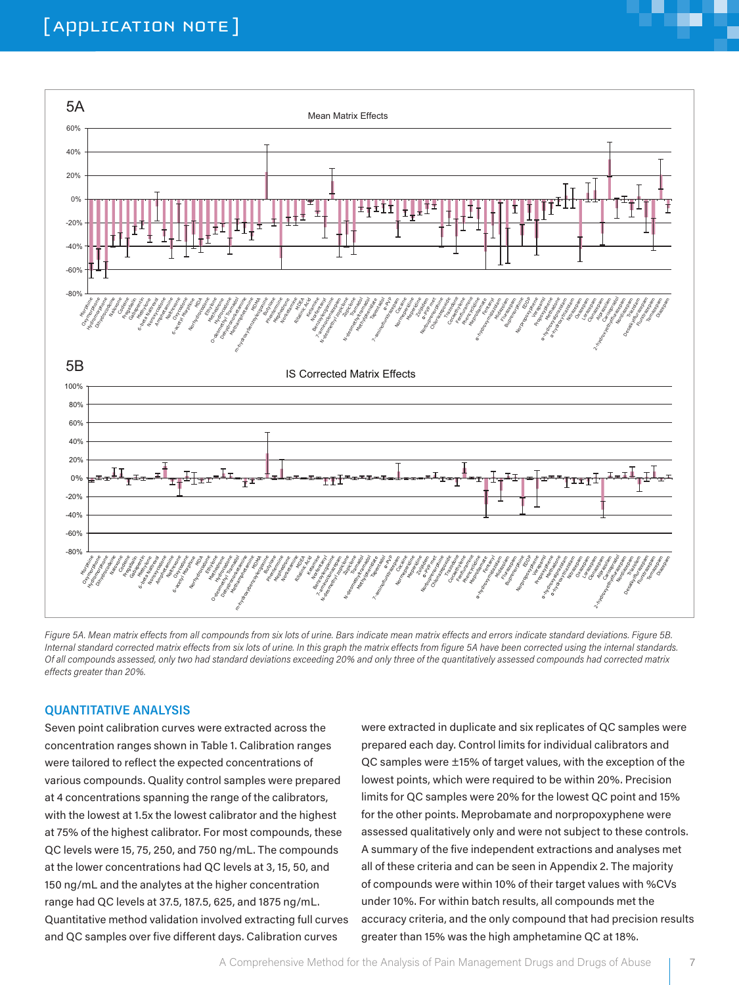

*Figure 5A. Mean matrix effects from all compounds from six lots of urine. Bars indicate mean matrix effects and errors indicate standard deviations. Figure 5B. Internal standard corrected matrix effects from six lots of urine. In this graph the matrix effects from figure 5A have been corrected using the internal standards. Of all compounds assessed, only two had standard deviations exceeding 20% and only three of the quantitatively assessed compounds had corrected matrix effects greater than 20%.*

#### **QUANTITATIVE ANALYSIS**

Seven point calibration curves were extracted across the concentration ranges shown in Table 1. Calibration ranges were tailored to reflect the expected concentrations of various compounds. Quality control samples were prepared at 4 concentrations spanning the range of the calibrators, with the lowest at 1.5x the lowest calibrator and the highest at 75% of the highest calibrator. For most compounds, these QC levels were 15, 75, 250, and 750 ng/mL. The compounds at the lower concentrations had QC levels at 3, 15, 50, and 150 ng/mL and the analytes at the higher concentration range had QC levels at 37.5, 187.5, 625, and 1875 ng/mL. Quantitative method validation involved extracting full curves and QC samples over five different days. Calibration curves

were extracted in duplicate and six replicates of QC samples were prepared each day. Control limits for individual calibrators and QC samples were ±15% of target values, with the exception of the lowest points, which were required to be within 20%. Precision limits for QC samples were 20% for the lowest QC point and 15% for the other points. Meprobamate and norpropoxyphene were assessed qualitatively only and were not subject to these controls. A summary of the five independent extractions and analyses met all of these criteria and can be seen in Appendix 2. The majority of compounds were within 10% of their target values with %CVs under 10%. For within batch results, all compounds met the accuracy criteria, and the only compound that had precision results greater than 15% was the high amphetamine QC at 18%.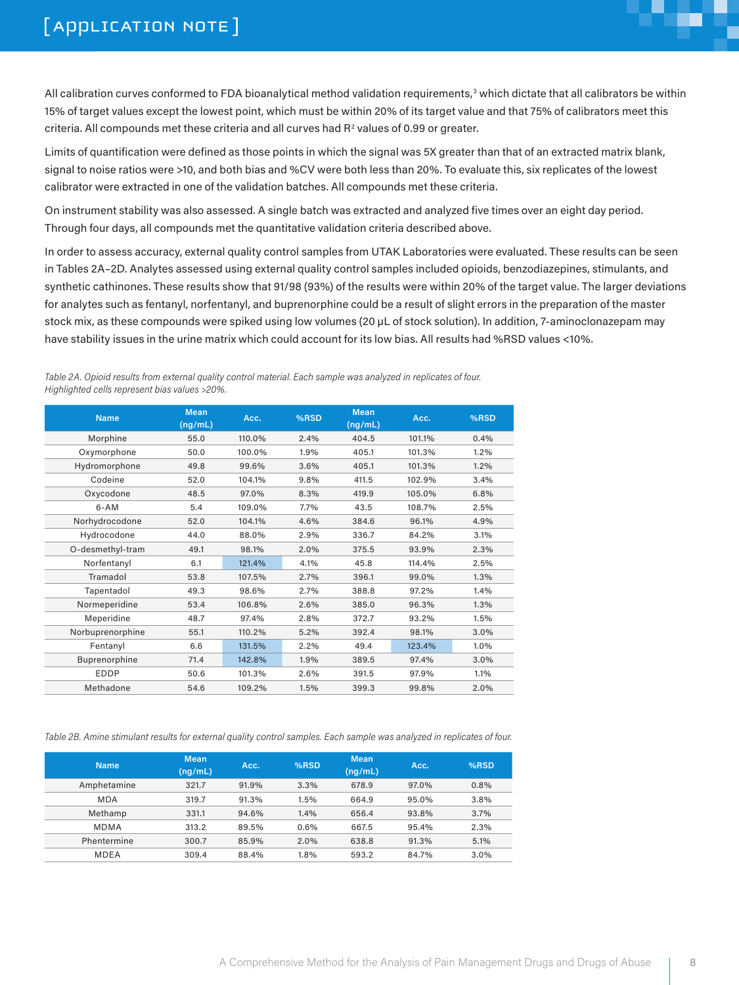

All calibration curves conformed to FDA bioanalytical method validation requirements, $^3$  which dictate that all calibrators be within 15% of target values except the lowest point, which must be within 20% of its target value and that 75% of calibrators meet this criteria. All compounds met these criteria and all curves had R<sup>2</sup> values of 0.99 or greater.

Limits of quantification were defined as those points in which the signal was 5X greater than that of an extracted matrix blank, signal to noise ratios were >10, and both bias and %CV were both less than 20%. To evaluate this, six replicates of the lowest calibrator were extracted in one of the validation batches. All compounds met these criteria.

On instrument stability was also assessed. A single batch was extracted and analyzed five times over an eight day period. Through four days, all compounds met the quantitative validation criteria described above.

In order to assess accuracy, external quality control samples from UTAK Laboratories were evaluated. These results can be seen in Tables 2A–2D. Analytes assessed using external quality control samples included opioids, benzodiazepines, stimulants, and synthetic cathinones. These results show that 91/98 (93%) of the results were within 20% of the target value. The larger deviations for analytes such as fentanyl, norfentanyl, and buprenorphine could be a result of slight errors in the preparation of the master stock mix, as these compounds were spiked using low volumes (20 µL of stock solution). In addition, 7-aminoclonazepam may have stability issues in the urine matrix which could account for its low bias. All results had %RSD values <10%.

*Table 2A. Opioid results from external quality control material. Each sample was analyzed in replicates of four. Highlighted cells represent bias values >20%.*

| <b>Name</b>      | <b>Mean</b><br>(ng/mL) | Acc.   | %RSD | <b>Mean</b><br>(ng/mL) | Acc.   | %RSD |
|------------------|------------------------|--------|------|------------------------|--------|------|
| Morphine         | 55.0                   | 110.0% | 2.4% | 404.5                  | 101.1% | 0.4% |
| Oxymorphone      | 50.0                   | 100.0% | 1.9% | 405.1                  | 101.3% | 1.2% |
| Hydromorphone    | 49.8                   | 99.6%  | 3.6% | 405.1                  | 101.3% | 1.2% |
| Codeine          | 52.0                   | 104.1% | 9.8% | 411.5                  | 102.9% | 3.4% |
| Oxycodone        | 48.5                   | 97.0%  | 8.3% | 419.9                  | 105.0% | 6.8% |
| $6 - AM$         | 5.4                    | 109.0% | 7.7% | 43.5                   | 108.7% | 2.5% |
| Norhydrocodone   | 52.0                   | 104.1% | 4.6% | 384.6                  | 96.1%  | 4.9% |
| Hydrocodone      | 44.0                   | 88.0%  | 2.9% | 336.7                  | 84.2%  | 3.1% |
| O-desmethyl-tram | 49.1                   | 98.1%  | 2.0% | 375.5                  | 93.9%  | 2.3% |
| Norfentanyl      | 6.1                    | 121.4% | 4.1% | 45.8                   | 114.4% | 2.5% |
| Tramadol         | 53.8                   | 107.5% | 2.7% | 396.1                  | 99.0%  | 1.3% |
| Tapentadol       | 49.3                   | 98.6%  | 2.7% | 388.8                  | 97.2%  | 1.4% |
| Normeperidine    | 53.4                   | 106.8% | 2.6% | 385,0                  | 96.3%  | 1.3% |
| Meperidine       | 48.7                   | 97.4%  | 2.8% | 372.7                  | 93.2%  | 1.5% |
| Norbuprenorphine | 55.1                   | 110.2% | 5.2% | 392.4                  | 98.1%  | 3.0% |
| Fentanyl         | 6.6                    | 131.5% | 2.2% | 49.4                   | 123.4% | 1.0% |
| Buprenorphine    | 71.4                   | 142.8% | 1.9% | 389.5                  | 97.4%  | 3.0% |
| <b>EDDP</b>      | 50.6                   | 101.3% | 2.6% | 391.5                  | 97.9%  | 1.1% |
| Methadone        | 54.6                   | 109.2% | 1.5% | 399.3                  | 99.8%  | 2.0% |

*Table 2B. Amine stimulant results for external quality control samples. Each sample was analyzed in replicates of four.*

| <b>Name</b> | <b>Mean</b><br>(ng/mL) | Acc.  | $%$ RSD | <b>Mean</b><br>(ng/mL) | Acc.  | %RSD |
|-------------|------------------------|-------|---------|------------------------|-------|------|
| Amphetamine | 321.7                  | 91.9% | 3.3%    | 678.9                  | 97.0% | 0.8% |
| <b>MDA</b>  | 319.7                  | 91.3% | 1.5%    | 664.9                  | 95.0% | 3.8% |
| Methamp     | 331.1                  | 94.6% | 1.4%    | 656.4                  | 93.8% | 3.7% |
| <b>MDMA</b> | 313.2                  | 89.5% | 0.6%    | 667.5                  | 95.4% | 2.3% |
| Phentermine | 300.7                  | 85.9% | 2.0%    | 638.8                  | 91.3% | 5.1% |
| <b>MDEA</b> | 309.4                  | 88.4% | 1.8%    | 593.2                  | 84.7% | 3.0% |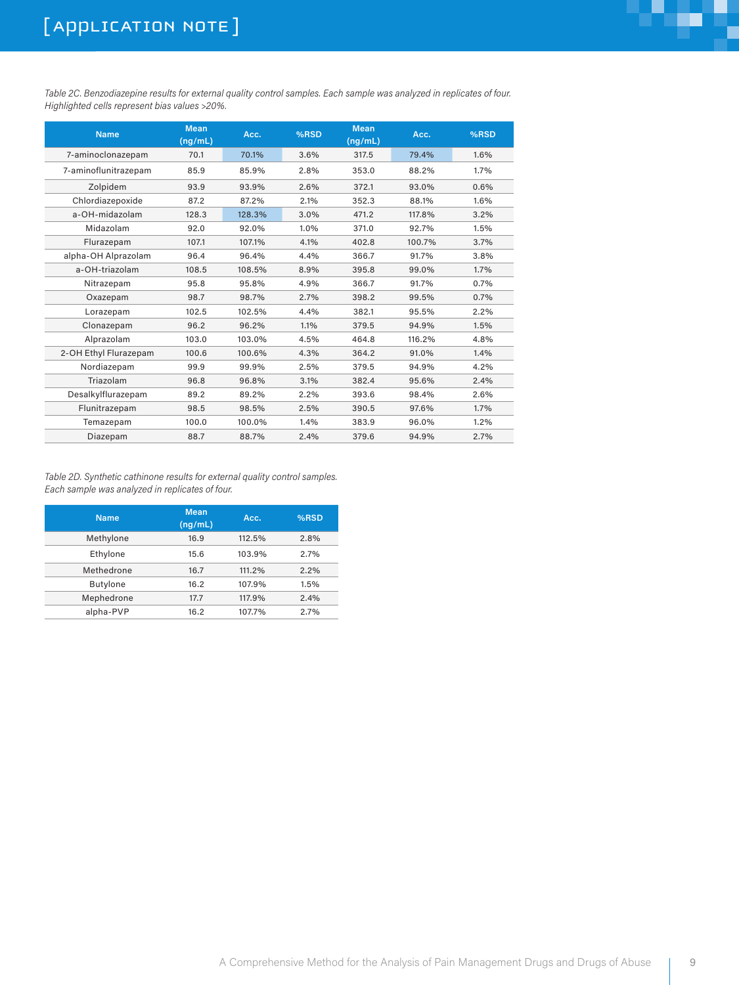

*Table 2C. Benzodiazepine results for external quality control samples. Each sample was analyzed in replicates of four. Highlighted cells represent bias values >20%.*

| <b>Name</b>           | <b>Mean</b><br>(ng/mL) | Acc.   | %RSD | <b>Mean</b><br>(ng/mL) | Acc.   | %RSD |
|-----------------------|------------------------|--------|------|------------------------|--------|------|
| 7-aminoclonazepam     | 70.1                   | 70.1%  | 3.6% | 317.5                  | 79.4%  | 1.6% |
| 7-aminoflunitrazepam  | 85.9                   | 85.9%  | 2.8% | 353.0                  | 88.2%  | 1.7% |
| Zolpidem              | 93.9                   | 93.9%  | 2.6% | 372.1                  | 93.0%  | 0.6% |
| Chlordiazepoxide      | 87.2                   | 87.2%  | 2.1% | 352.3                  | 88.1%  | 1.6% |
| a-OH-midazolam        | 128.3                  | 128.3% | 3.0% | 471.2                  | 117.8% | 3.2% |
| Midazolam             | 92.0                   | 92.0%  | 1.0% | 371.0                  | 92.7%  | 1.5% |
| Flurazepam            | 107.1                  | 107.1% | 4.1% | 402.8                  | 100.7% | 3.7% |
| alpha-OH Alprazolam   | 96.4                   | 96.4%  | 4.4% | 366.7                  | 91.7%  | 3.8% |
| a-OH-triazolam        | 108.5                  | 108.5% | 8.9% | 395.8                  | 99.0%  | 1.7% |
| Nitrazepam            | 95.8                   | 95.8%  | 4.9% | 366.7                  | 91.7%  | 0.7% |
| Oxazepam              | 98.7                   | 98.7%  | 2.7% | 398.2                  | 99.5%  | 0.7% |
| Lorazepam             | 102.5                  | 102.5% | 4.4% | 382.1                  | 95.5%  | 2.2% |
| Clonazepam            | 96.2                   | 96.2%  | 1.1% | 379.5                  | 94.9%  | 1.5% |
| Alprazolam            | 103.0                  | 103.0% | 4.5% | 464.8                  | 116.2% | 4.8% |
| 2-OH Ethyl Flurazepam | 100.6                  | 100.6% | 4.3% | 364.2                  | 91.0%  | 1.4% |
| Nordiazepam           | 99.9                   | 99.9%  | 2.5% | 379.5                  | 94.9%  | 4.2% |
| Triazolam             | 96.8                   | 96.8%  | 3.1% | 382.4                  | 95.6%  | 2.4% |
| Desalkylflurazepam    | 89.2                   | 89.2%  | 2.2% | 393.6                  | 98.4%  | 2.6% |
| Flunitrazepam         | 98.5                   | 98.5%  | 2.5% | 390.5                  | 97.6%  | 1.7% |
| Temazepam             | 100.0                  | 100.0% | 1.4% | 383.9                  | 96.0%  | 1.2% |
| Diazepam              | 88.7                   | 88.7%  | 2.4% | 379.6                  | 94.9%  | 2.7% |

*Table 2D. Synthetic cathinone results for external quality control samples. Each sample was analyzed in replicates of four.*

| <b>Name</b>     | <b>Mean</b><br>(ng/mL) | Acc.   | %RSD |
|-----------------|------------------------|--------|------|
| Methylone       | 16.9                   | 112.5% | 2.8% |
| Ethylone        | 15.6                   | 103.9% | 2.7% |
| Methedrone      | 16.7                   | 111.2% | 2.2% |
| <b>Butylone</b> | 16.2                   | 107.9% | 1.5% |
| Mephedrone      | 17.7                   | 117.9% | 2.4% |
| alpha-PVP       | 16.2                   | 107.7% | 2.7% |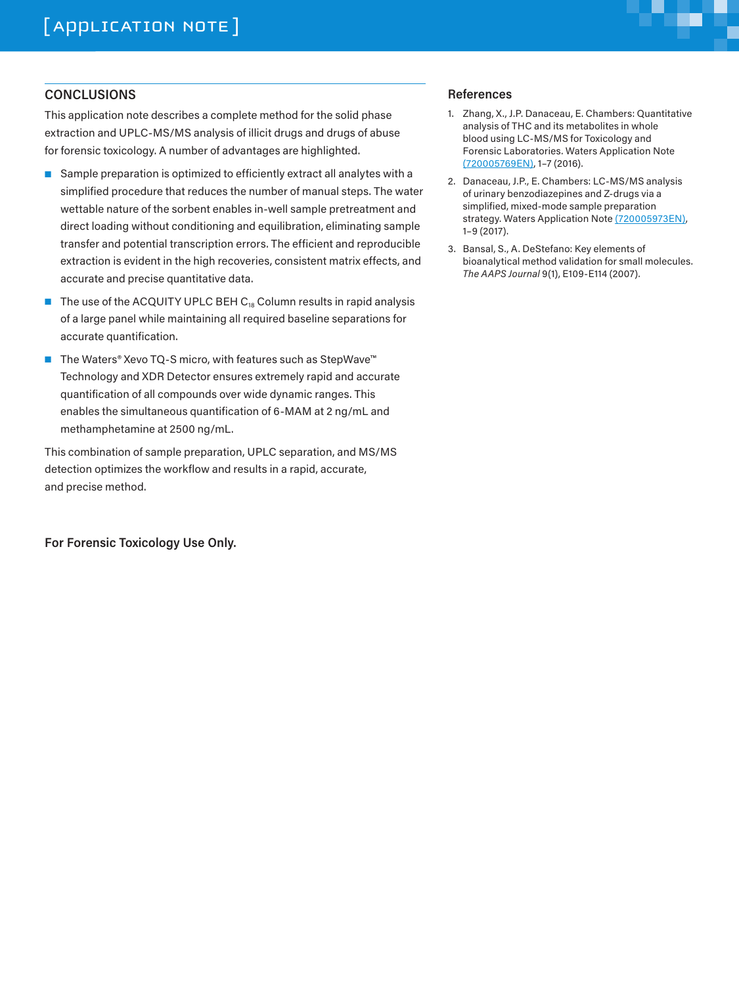#### **CONCLUSIONS**

This application note describes a complete method for the solid phase extraction and UPLC-MS/MS analysis of illicit drugs and drugs of abuse for forensic toxicology. A number of advantages are highlighted.

- Sample preparation is optimized to efficiently extract all analytes with a simplified procedure that reduces the number of manual steps. The water wettable nature of the sorbent enables in-well sample pretreatment and direct loading without conditioning and equilibration, eliminating sample transfer and potential transcription errors. The efficient and reproducible extraction is evident in the high recoveries, consistent matrix effects, and accurate and precise quantitative data.
- The use of the ACQUITY UPLC BEH  $C_{18}$  Column results in rapid analysis of a large panel while maintaining all required baseline separations for accurate quantification.
- The Waters® Xevo TQ-S micro, with features such as StepWave™ Technology and XDR Detector ensures extremely rapid and accurate quantification of all compounds over wide dynamic ranges. This enables the simultaneous quantification of 6-MAM at 2 ng/mL and methamphetamine at 2500 ng/mL.

This combination of sample preparation, UPLC separation, and MS/MS detection optimizes the workflow and results in a rapid, accurate, and precise method.

**For Forensic Toxicology Use Only.**

#### **References**

1. Zhang, X., J.P. Danaceau, E. Chambers: Quantitative analysis of THC and its metabolites in whole blood using LC-MS/MS for Toxicology and Forensic Laboratories. Waters Application Note [\(720005769EN\),](http://www.waters.com/waters/library.htm?cid=511436&lid=134901925) 1–7 (2016).

M.

- 2. Danaceau, J.P., E. Chambers: LC-MS/MS analysis of urinary benzodiazepines and Z-drugs via a simplified, mixed-mode sample preparation strategy. Waters Application Note [\(720005973EN\)](http://www.waters.com/waters/library.htm?cid=511436&lid=134935741), 1–9 (2017).
- 3. Bansal, S., A. DeStefano: Key elements of bioanalytical method validation for small molecules. *The AAPS Journal* 9(1), E109-E114 (2007).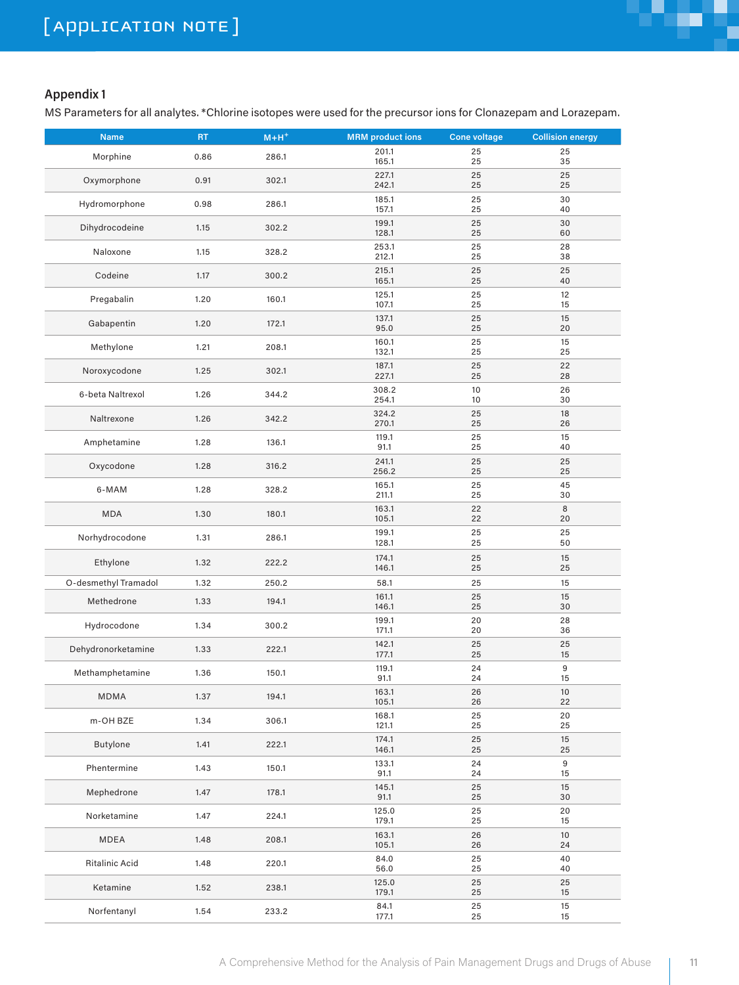

Г

#### **Appendix 1**

MS Parameters for all analytes. \*Chlorine isotopes were used for the precursor ions for Clonazepam and Lorazepam.

| <b>Name</b>           | <b>RT</b> | $M + H^+$ | <b>MRM</b> product ions | Cone voltage | <b>Collision energy</b> |
|-----------------------|-----------|-----------|-------------------------|--------------|-------------------------|
| Morphine              | 0.86      | 286.1     | 201.1<br>165.1          | 25<br>25     | 25<br>35                |
| Oxymorphone           | 0.91      | 302.1     | 227.1<br>242.1          | 25<br>25     | 25<br>25                |
| Hydromorphone         | 0.98      | 286.1     | 185.1<br>157.1          | 25<br>25     | 30<br>40                |
| Dihydrocodeine        | 1.15      | 302.2     | 199.1<br>128.1          | 25<br>25     | 30<br>60                |
| Naloxone              | 1.15      | 328.2     | 253.1<br>212.1          | 25<br>25     | 28<br>38                |
| Codeine               | 1.17      | 300.2     | 215.1<br>165.1          | 25<br>25     | 25<br>40                |
| Pregabalin            | 1.20      | 160.1     | 125.1<br>107.1          | 25<br>25     | 12<br>15                |
| Gabapentin            | 1.20      | 172.1     | 137.1<br>95.0           | 25<br>25     | 15<br>20                |
| Methylone             | 1.21      | 208.1     | 160.1<br>132.1          | 25<br>25     | 15<br>25                |
| Noroxycodone          | 1.25      | 302.1     | 187.1<br>227.1          | 25<br>25     | 22<br>28                |
| 6-beta Naltrexol      | 1.26      | 344.2     | 308.2<br>254.1          | 10<br>10     | 26<br>30                |
| Naltrexone            | 1.26      | 342.2     | 324.2<br>270.1          | 25<br>25     | 18<br>26                |
| Amphetamine           | 1.28      | 136.1     | 119.1<br>91.1           | 25<br>25     | 15<br>40                |
| Oxycodone             | 1.28      | 316.2     | 241.1<br>256.2          | 25<br>25     | 25<br>25                |
| 6-MAM                 | 1.28      | 328.2     | 165.1<br>211.1          | 25<br>25     | 45<br>30                |
| <b>MDA</b>            | 1.30      | 180.1     | 163.1<br>105.1          | 22<br>22     | 8<br>20                 |
| Norhydrocodone        | 1.31      | 286.1     | 199.1<br>128.1          | 25<br>25     | 25<br>50                |
| Ethylone              | 1.32      | 222.2     | 174.1<br>146.1          | 25<br>25     | 15<br>25                |
| O-desmethyl Tramadol  | 1.32      | 250.2     | 58.1                    | 25           | 15                      |
| Methedrone            | 1.33      | 194.1     | 161.1<br>146.1          | 25<br>25     | 15<br>30                |
| Hydrocodone           | 1.34      | 300.2     | 199.1<br>171.1          | 20<br>20     | 28<br>36                |
| Dehydronorketamine    | 1.33      | 222.1     | 142.1<br>177.1          | 25<br>25     | 25<br>15                |
| Methamphetamine       | 1.36      | 150.1     | 119.1<br>91.1           | 24<br>24     | 9<br>15                 |
| MDMA                  | 1.37      | 194.1     | 163.1<br>105.1          | 26<br>26     | 10<br>22                |
| m-OH BZE              | 1.34      | 306.1     | 168.1<br>121.1          | 25<br>25     | 20<br>25                |
| <b>Butylone</b>       | 1.41      | 222.1     | 174.1<br>146.1          | 25<br>25     | 15<br>25                |
| Phentermine           | 1.43      | 150.1     | 133.1<br>91.1           | 24<br>24     | 9<br>15                 |
| Mephedrone            | 1.47      | 178.1     | 145.1<br>91.1           | 25<br>25     | 15<br>30                |
| Norketamine           | 1.47      | 224.1     | 125.0<br>179.1          | 25<br>25     | 20<br>15                |
| <b>MDEA</b>           | 1.48      | 208.1     | 163.1<br>105.1          | 26<br>26     | 10<br>24                |
| <b>Ritalinic Acid</b> | 1.48      | 220.1     | 84.0<br>56.0            | 25<br>25     | 40<br>40                |
| Ketamine              | 1.52      | 238.1     | 125.0<br>179.1          | 25<br>25     | 25<br>15                |
| Norfentanyl           | 1.54      | 233.2     | 84.1<br>177.1           | 25<br>25     | 15<br>15                |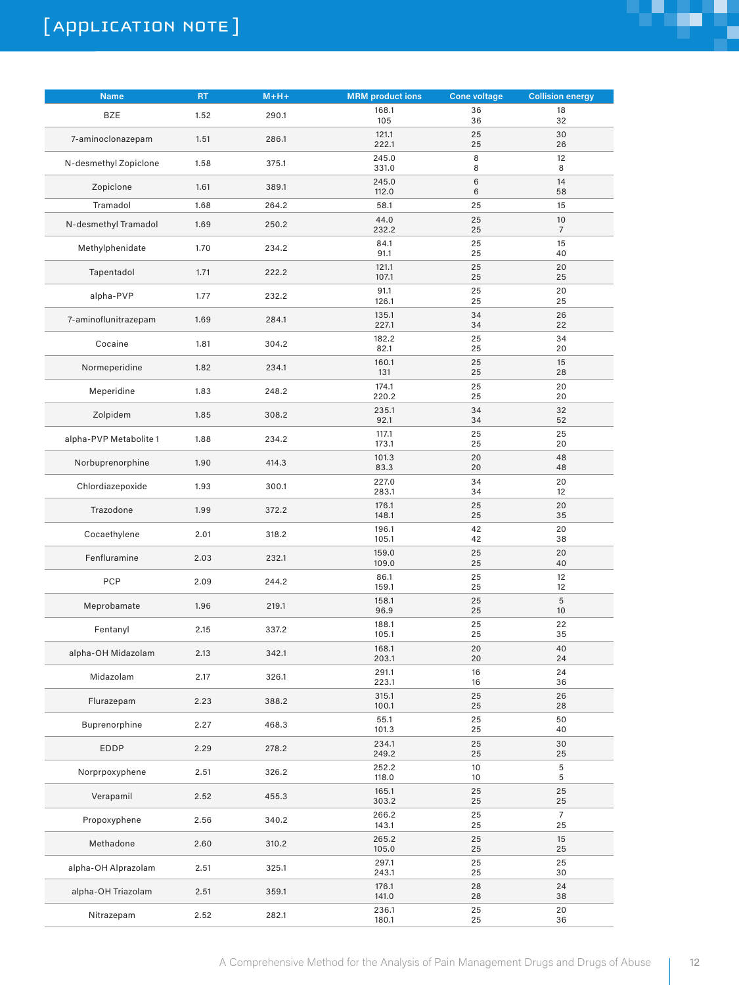

| <b>Name</b>            | <b>RT</b> | $M+H+$ | <b>MRM</b> product ions | <b>Cone voltage</b> | <b>Collision energy</b> |
|------------------------|-----------|--------|-------------------------|---------------------|-------------------------|
| BZE                    | 1.52      | 290.1  | 168.1<br>105            | 36<br>36            | 18<br>32                |
| 7-aminoclonazepam      | 1.51      | 286.1  | 121.1<br>222.1          | 25<br>25            | 30<br>26                |
| N-desmethyl Zopiclone  | 1.58      | 375.1  | 245.0<br>331.0          | 8<br>8              | 12<br>8                 |
| Zopiclone              | 1.61      | 389.1  | 245.0<br>112.0          | 6<br>6              | 14<br>58                |
| Tramadol               | 1.68      | 264.2  | 58.1                    | 25                  | 15                      |
| N-desmethyl Tramadol   | 1.69      | 250.2  | 44.0<br>232.2           | 25<br>25            | $10$<br>$\overline{7}$  |
| Methylphenidate        | 1.70      | 234.2  | 84.1<br>91.1            | 25<br>25            | 15<br>40                |
| Tapentadol             | 1.71      | 222.2  | 121.1<br>107.1          | 25<br>25            | 20<br>25                |
| alpha-PVP              | 1.77      | 232.2  | 91.1<br>126.1           | 25<br>25            | 20<br>25                |
| 7-aminoflunitrazepam   | 1.69      | 284.1  | 135.1<br>227.1          | 34<br>34            | 26<br>22                |
| Cocaine                | 1.81      | 304.2  | 182.2<br>82.1           | 25<br>25            | 34<br>20                |
| Normeperidine          | 1.82      | 234.1  | 160.1<br>131            | 25<br>25            | 15<br>28                |
| Meperidine             | 1.83      | 248.2  | 174.1<br>220.2          | 25<br>25            | 20<br>20                |
| Zolpidem               | 1.85      | 308.2  | 235.1<br>92.1           | 34<br>34            | 32<br>52                |
| alpha-PVP Metabolite 1 | 1.88      | 234.2  | 117.1<br>173.1          | 25<br>25            | 25<br>20                |
| Norbuprenorphine       | 1.90      | 414.3  | 101.3<br>83.3           | 20<br>20            | 48<br>48                |
| Chlordiazepoxide       | 1.93      | 300.1  | 227.0<br>283.1          | 34<br>34            | 20<br>12                |
| Trazodone              | 1.99      | 372.2  | 176.1<br>148.1          | 25<br>25            | 20<br>35                |
| Cocaethylene           | 2.01      | 318.2  | 196.1<br>105.1          | 42<br>42            | 20<br>38                |
| Fenfluramine           | 2.03      | 232.1  | 159.0<br>109.0          | 25<br>25            | 20<br>40                |
| PCP                    | 2.09      | 244.2  | 86.1<br>159.1           | 25<br>25            | 12<br>12                |
| Meprobamate            | 1.96      | 219.1  | 158.1<br>96.9           | 25<br>25            | 5<br>10                 |
| Fentanyl               | 2.15      | 337.2  | 188.1<br>105.1          | 25<br>25            | 22<br>35                |
| alpha-OH Midazolam     | 2.13      | 342.1  | 168.1<br>203.1          | 20<br>20            | 40<br>24                |
| Midazolam              | 2.17      | 326.1  | 291.1<br>223.1          | 16<br>16            | 24<br>36                |
| Flurazepam             | 2.23      | 388.2  | 315.1<br>100.1          | 25<br>25            | 26<br>28                |
| Buprenorphine          | 2.27      | 468.3  | 55.1<br>101.3           | 25<br>25            | 50<br>40                |
| EDDP                   | 2.29      | 278.2  | 234.1<br>249.2          | 25<br>25            | 30<br>25                |
| Norprpoxyphene         | 2.51      | 326.2  | 252.2<br>118.0          | 10<br>10            | 5<br>5                  |
| Verapamil              | 2.52      | 455.3  | 165.1<br>303.2          | 25<br>25            | 25<br>25                |
| Propoxyphene           | 2.56      | 340.2  | 266.2<br>143.1          | 25<br>25            | $\overline{7}$<br>25    |
| Methadone              | 2.60      | 310.2  | 265.2<br>105.0          | 25<br>25            | 15<br>25                |
| alpha-OH Alprazolam    | 2.51      | 325.1  | 297.1<br>243.1          | 25<br>25            | 25<br>30                |
| alpha-OH Triazolam     | 2.51      | 359.1  | 176.1<br>141.0          | 28<br>28            | 24<br>38                |
| Nitrazepam             | 2.52      | 282.1  | 236.1<br>180.1          | 25<br>25            | 20<br>36                |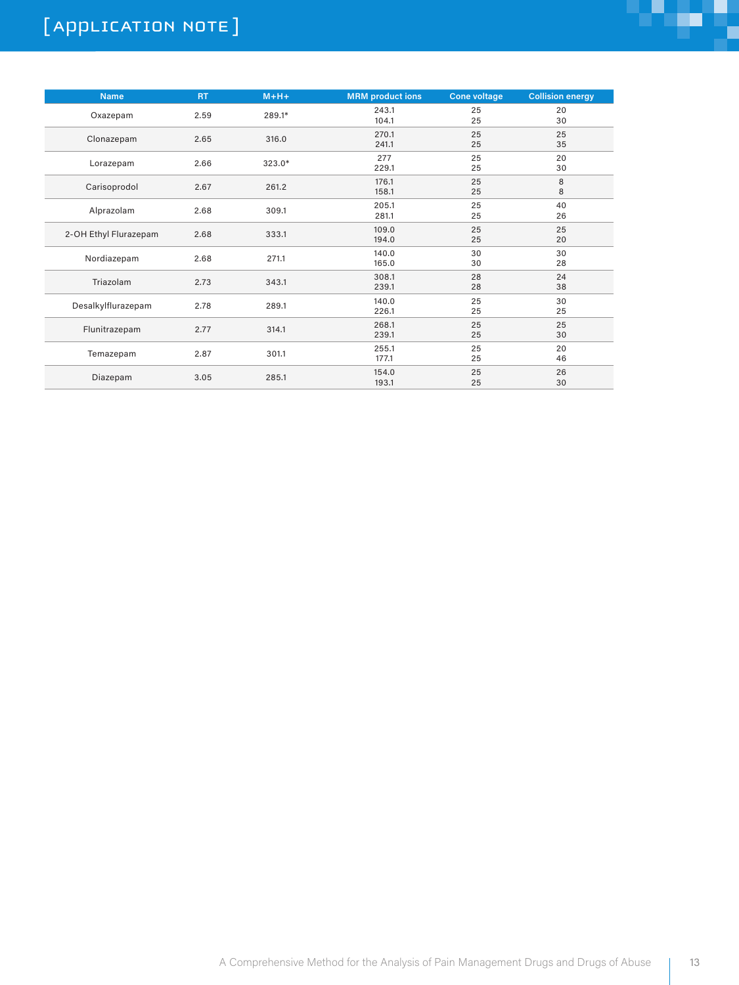

| <b>Name</b>           | <b>RT</b> | $M+H+$   | <b>MRM</b> product ions | <b>Cone voltage</b> | <b>Collision energy</b> |
|-----------------------|-----------|----------|-------------------------|---------------------|-------------------------|
| Oxazepam              | 2.59      | 289.1*   | 243.1<br>104.1          | 25<br>25            | 20<br>30                |
| Clonazepam            | 2.65      | 316.0    | 270.1<br>241.1          | 25<br>25            | 25<br>35                |
| Lorazepam             | 2.66      | $323.0*$ | 277<br>229.1            | 25<br>25            | 20<br>30                |
| Carisoprodol          | 2.67      | 261.2    | 176.1<br>158.1          | 25<br>25            | 8<br>8                  |
| Alprazolam            | 2.68      | 309.1    | 205.1<br>281.1          | 25<br>25            | 40<br>26                |
| 2-OH Ethyl Flurazepam | 2.68      | 333.1    | 109.0<br>194.0          | 25<br>25            | 25<br>20                |
| Nordiazepam           | 2.68      | 271.1    | 140.0<br>165.0          | 30<br>30            | 30<br>28                |
| Triazolam             | 2.73      | 343.1    | 308.1<br>239.1          | 28<br>28            | 24<br>38                |
| Desalkylflurazepam    | 2.78      | 289.1    | 140.0<br>226.1          | 25<br>25            | 30<br>25                |
| Flunitrazepam         | 2.77      | 314.1    | 268.1<br>239.1          | 25<br>25            | 25<br>30                |
| Temazepam             | 2.87      | 301.1    | 255.1<br>177.1          | 25<br>25            | 20<br>46                |
| Diazepam              | 3.05      | 285.1    | 154.0<br>193.1          | 25<br>25            | 26<br>30                |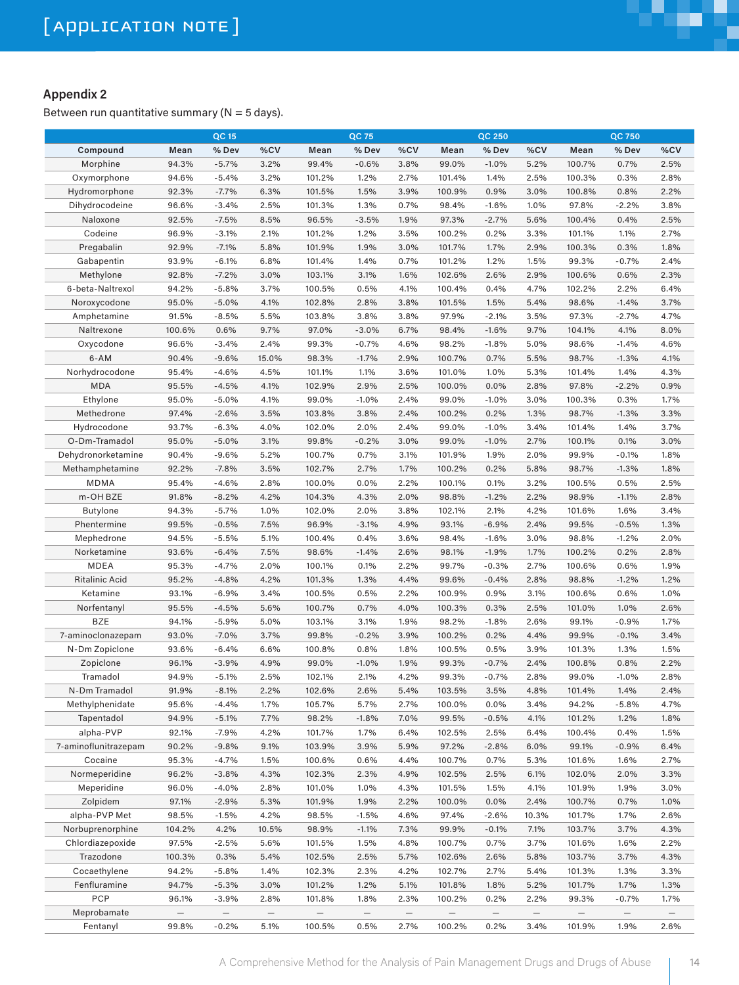#### **Appendix 2**

Between run quantitative summary ( $N = 5$  days).

|                       |        | <b>QC 15</b>      |                   |        | <b>QC 75</b>             |                   |        | <b>QC 250</b>     |                          |        | <b>QC 750</b>     |      |
|-----------------------|--------|-------------------|-------------------|--------|--------------------------|-------------------|--------|-------------------|--------------------------|--------|-------------------|------|
| Compound              | Mean   | %Dev              | %CV               | Mean   | % Dev                    | %CV               | Mean   | % Dev             | %CV                      | Mean   | % Dev             | %CV  |
| Morphine              | 94.3%  | $-5.7%$           | 3.2%              | 99.4%  | $-0.6%$                  | 3.8%              | 99.0%  | $-1.0%$           | 5.2%                     | 100.7% | 0.7%              | 2.5% |
| Oxymorphone           | 94.6%  | $-5.4%$           | 3.2%              | 101.2% | 1.2%                     | 2.7%              | 101.4% | 1.4%              | 2.5%                     | 100.3% | 0.3%              | 2.8% |
| Hydromorphone         | 92.3%  | $-7.7%$           | 6.3%              | 101.5% | 1.5%                     | 3.9%              | 100.9% | 0.9%              | 3.0%                     | 100.8% | 0.8%              | 2.2% |
| Dihydrocodeine        | 96.6%  | $-3.4%$           | 2.5%              | 101.3% | 1.3%                     | 0.7%              | 98.4%  | $-1.6%$           | 1.0%                     | 97.8%  | $-2.2%$           | 3.8% |
| Naloxone              | 92.5%  | $-7.5%$           | 8.5%              | 96.5%  | $-3.5%$                  | 1.9%              | 97.3%  | $-2.7%$           | 5.6%                     | 100.4% | 0.4%              | 2.5% |
| Codeine               | 96.9%  | $-3.1%$           | 2.1%              | 101.2% | 1.2%                     | 3.5%              | 100.2% | 0.2%              | 3.3%                     | 101.1% | 1.1%              | 2.7% |
| Pregabalin            | 92.9%  | $-7.1%$           | 5.8%              | 101.9% | 1.9%                     | 3.0%              | 101.7% | 1.7%              | 2.9%                     | 100.3% | 0.3%              | 1.8% |
| Gabapentin            | 93.9%  | $-6.1%$           | 6.8%              | 101.4% | 1.4%                     | 0.7%              | 101.2% | 1.2%              | 1.5%                     | 99.3%  | $-0.7%$           | 2.4% |
| Methylone             | 92.8%  | $-7.2%$           | 3.0%              | 103.1% | 3.1%                     | 1.6%              | 102.6% | 2.6%              | 2.9%                     | 100.6% | 0.6%              | 2.3% |
| 6-beta-Naltrexol      | 94.2%  | $-5.8%$           | 3.7%              | 100.5% | 0.5%                     | 4.1%              | 100.4% | 0.4%              | 4.7%                     | 102.2% | 2.2%              | 6.4% |
|                       |        |                   |                   |        |                          | 3.8%              |        |                   |                          |        |                   |      |
| Noroxycodone          | 95.0%  | $-5.0%$           | 4.1%              | 102.8% | 2.8%                     |                   | 101.5% | 1.5%              | 5.4%                     | 98.6%  | $-1.4%$           | 3.7% |
| Amphetamine           | 91.5%  | $-8.5%$           | 5.5%              | 103.8% | 3.8%                     | 3.8%              | 97.9%  | $-2.1%$           | 3.5%                     | 97.3%  | $-2.7%$           | 4.7% |
| Naltrexone            | 100.6% | 0.6%              | 9.7%              | 97.0%  | $-3.0%$                  | 6.7%              | 98.4%  | $-1.6%$           | 9.7%                     | 104.1% | 4.1%              | 8.0% |
| Oxycodone             | 96.6%  | $-3.4%$           | 2.4%              | 99.3%  | $-0.7%$                  | 4.6%              | 98.2%  | $-1.8%$           | 5.0%                     | 98.6%  | $-1.4%$           | 4.6% |
| 6-AM                  | 90.4%  | $-9.6%$           | 15.0%             | 98.3%  | $-1.7%$                  | 2.9%              | 100.7% | 0.7%              | 5.5%                     | 98.7%  | $-1.3%$           | 4.1% |
| Norhydrocodone        | 95.4%  | $-4.6%$           | 4.5%              | 101.1% | 1.1%                     | 3.6%              | 101.0% | 1.0%              | 5.3%                     | 101.4% | 1.4%              | 4.3% |
| <b>MDA</b>            | 95.5%  | $-4.5%$           | 4.1%              | 102.9% | 2.9%                     | 2.5%              | 100.0% | 0.0%              | 2.8%                     | 97.8%  | $-2.2%$           | 0.9% |
| Ethylone              | 95.0%  | $-5.0%$           | 4.1%              | 99.0%  | $-1.0%$                  | 2.4%              | 99.0%  | $-1.0%$           | 3.0%                     | 100.3% | 0.3%              | 1.7% |
| Methedrone            | 97.4%  | $-2.6%$           | 3.5%              | 103.8% | 3.8%                     | 2.4%              | 100.2% | 0.2%              | 1.3%                     | 98.7%  | $-1.3%$           | 3.3% |
| Hydrocodone           | 93.7%  | $-6.3%$           | 4.0%              | 102.0% | 2.0%                     | 2.4%              | 99.0%  | $-1.0%$           | 3.4%                     | 101.4% | 1.4%              | 3.7% |
| O-Dm-Tramadol         | 95.0%  | $-5.0%$           | 3.1%              | 99.8%  | $-0.2%$                  | 3.0%              | 99.0%  | $-1.0%$           | 2.7%                     | 100.1% | 0.1%              | 3.0% |
| Dehydronorketamine    | 90.4%  | $-9.6%$           | 5.2%              | 100.7% | 0.7%                     | 3.1%              | 101.9% | 1.9%              | 2.0%                     | 99.9%  | $-0.1%$           | 1.8% |
| Methamphetamine       | 92.2%  | $-7.8%$           | 3.5%              | 102.7% | 2.7%                     | 1.7%              | 100.2% | 0.2%              | 5.8%                     | 98.7%  | $-1.3%$           | 1.8% |
| <b>MDMA</b>           | 95.4%  | $-4.6%$           | 2.8%              | 100.0% | 0.0%                     | 2.2%              | 100.1% | 0.1%              | 3.2%                     | 100.5% | 0.5%              | 2.5% |
| m-OH BZE              | 91.8%  | $-8.2%$           | 4.2%              | 104.3% | 4.3%                     | 2.0%              | 98.8%  | $-1.2%$           | 2.2%                     | 98.9%  | $-1.1%$           | 2.8% |
| <b>Butylone</b>       | 94.3%  | $-5.7%$           | 1.0%              | 102.0% | 2.0%                     | 3.8%              | 102.1% | 2.1%              | 4.2%                     | 101.6% | 1.6%              | 3.4% |
| Phentermine           | 99.5%  | $-0.5%$           | 7.5%              | 96.9%  | $-3.1%$                  | 4.9%              | 93.1%  | $-6.9%$           | 2.4%                     | 99.5%  | $-0.5%$           | 1.3% |
| Mephedrone            | 94.5%  | $-5.5%$           | 5.1%              | 100.4% | 0.4%                     | 3.6%              | 98.4%  | $-1.6%$           | 3.0%                     | 98.8%  | $-1.2%$           | 2.0% |
| Norketamine           | 93.6%  | $-6.4%$           | 7.5%              | 98.6%  | $-1.4%$                  | 2.6%              | 98.1%  | $-1.9%$           | 1.7%                     | 100.2% | 0.2%              | 2.8% |
| MDEA                  | 95.3%  | $-4.7%$           | 2.0%              | 100.1% | 0.1%                     | 2.2%              | 99.7%  | $-0.3%$           | 2.7%                     | 100.6% | 0.6%              | 1.9% |
| <b>Ritalinic Acid</b> | 95.2%  | $-4.8%$           | 4.2%              | 101.3% | 1.3%                     | 4.4%              | 99.6%  | $-0.4%$           | 2.8%                     | 98.8%  | $-1.2%$           | 1.2% |
| Ketamine              | 93.1%  | $-6.9%$           | 3.4%              | 100.5% | 0.5%                     | 2.2%              | 100.9% | 0.9%              | 3.1%                     | 100.6% | 0.6%              | 1.0% |
| Norfentanyl           | 95.5%  | $-4.5%$           | 5.6%              | 100.7% | 0.7%                     | 4.0%              | 100.3% | 0.3%              | 2.5%                     | 101.0% | 1.0%              | 2.6% |
| <b>BZE</b>            | 94.1%  | $-5.9%$           | 5.0%              | 103.1% | 3.1%                     | 1.9%              | 98.2%  | $-1.8%$           | 2.6%                     | 99.1%  | $-0.9%$           | 1.7% |
| 7-aminoclonazepam     | 93.0%  | $-7.0%$           | 3.7%              | 99.8%  | $-0.2%$                  | 3.9%              | 100.2% | 0.2%              | 4.4%                     | 99.9%  | $-0.1%$           | 3.4% |
| N-Dm Zopiclone        | 93.6%  | $-6.4%$           | 6.6%              | 100.8% | 0.8%                     | 1.8%              | 100.5% | 0.5%              | 3.9%                     |        | 1.3%              | 1.5% |
|                       |        |                   |                   |        | $-1.0%$                  |                   |        | $-0.7%$           |                          | 101.3% |                   | 2.2% |
| Zopiclone             | 96.1%  | $-3.9%$           | 4.9%              | 99.0%  |                          | 1.9%              | 99.3%  |                   | 2.4%                     | 100.8% | 0.8%              |      |
| Tramadol              | 94.9%  | $-5.1%$           | 2.5%              | 102.1% | 2.1%                     | 4.2%              | 99.3%  | $-0.7%$           | 2.8%                     | 99.0%  | $-1.0%$           | 2.8% |
| N-Dm Tramadol         | 91.9%  | $-8.1%$           | 2.2%              | 102.6% | 2.6%                     | 5.4%              | 103.5% | 3.5%              | 4.8%                     | 101.4% | 1.4%              | 2.4% |
| Methylphenidate       | 95.6%  | $-4.4%$           | 1.7%              | 105.7% | 5.7%                     | 2.7%              | 100.0% | 0.0%              | 3.4%                     | 94.2%  | $-5.8%$           | 4.7% |
| Tapentadol            | 94.9%  | $-5.1%$           | 7.7%              | 98.2%  | $-1.8%$                  | 7.0%              | 99.5%  | $-0.5%$           | 4.1%                     | 101.2% | 1.2%              | 1.8% |
| alpha-PVP             | 92.1%  | $-7.9%$           | 4.2%              | 101.7% | 1.7%                     | 6.4%              | 102.5% | 2.5%              | 6.4%                     | 100.4% | 0.4%              | 1.5% |
| 7-aminoflunitrazepam  | 90.2%  | $-9.8%$           | 9.1%              | 103.9% | 3.9%                     | 5.9%              | 97.2%  | $-2.8%$           | 6.0%                     | 99.1%  | $-0.9%$           | 6.4% |
| Cocaine               | 95.3%  | $-4.7%$           | 1.5%              | 100.6% | 0.6%                     | 4.4%              | 100.7% | 0.7%              | 5.3%                     | 101.6% | 1.6%              | 2.7% |
| Normeperidine         | 96.2%  | $-3.8%$           | 4.3%              | 102.3% | 2.3%                     | 4.9%              | 102.5% | 2.5%              | 6.1%                     | 102.0% | 2.0%              | 3.3% |
| Meperidine            | 96.0%  | $-4.0%$           | 2.8%              | 101.0% | 1.0%                     | 4.3%              | 101.5% | 1.5%              | 4.1%                     | 101.9% | 1.9%              | 3.0% |
| Zolpidem              | 97.1%  | $-2.9%$           | 5.3%              | 101.9% | 1.9%                     | 2.2%              | 100.0% | 0.0%              | 2.4%                     | 100.7% | 0.7%              | 1.0% |
| alpha-PVP Met         | 98.5%  | $-1.5%$           | 4.2%              | 98.5%  | $-1.5%$                  | 4.6%              | 97.4%  | $-2.6%$           | 10.3%                    | 101.7% | 1.7%              | 2.6% |
| Norbuprenorphine      | 104.2% | 4.2%              | 10.5%             | 98.9%  | $-1.1%$                  | 7.3%              | 99.9%  | $-0.1%$           | 7.1%                     | 103.7% | 3.7%              | 4.3% |
| Chlordiazepoxide      | 97.5%  | $-2.5%$           | 5.6%              | 101.5% | 1.5%                     | 4.8%              | 100.7% | 0.7%              | 3.7%                     | 101.6% | 1.6%              | 2.2% |
| Trazodone             | 100.3% | 0.3%              | 5.4%              | 102.5% | 2.5%                     | 5.7%              | 102.6% | 2.6%              | 5.8%                     | 103.7% | 3.7%              | 4.3% |
| Cocaethylene          | 94.2%  | $-5.8%$           | 1.4%              | 102.3% | 2.3%                     | 4.2%              | 102.7% | 2.7%              | 5.4%                     | 101.3% | 1.3%              | 3.3% |
| Fenfluramine          | 94.7%  | $-5.3%$           | 3.0%              | 101.2% | 1.2%                     | 5.1%              | 101.8% | 1.8%              | 5.2%                     | 101.7% | 1.7%              | 1.3% |
| PCP                   | 96.1%  | $-3.9%$           | 2.8%              | 101.8% | 1.8%                     | 2.3%              | 100.2% | 0.2%              | 2.2%                     | 99.3%  | $-0.7%$           | 1.7% |
| Meprobamate           |        | $\qquad \qquad -$ | $\qquad \qquad -$ |        | $\overline{\phantom{0}}$ | $\qquad \qquad -$ |        | $\qquad \qquad -$ | $\overline{\phantom{m}}$ |        | $\qquad \qquad -$ |      |
| Fentanyl              | 99.8%  | $-0.2%$           | 5.1%              | 100.5% | 0.5%                     | 2.7%              | 100.2% | 0.2%              | 3.4%                     | 101.9% | 1.9%              | 2.6% |

œ

г